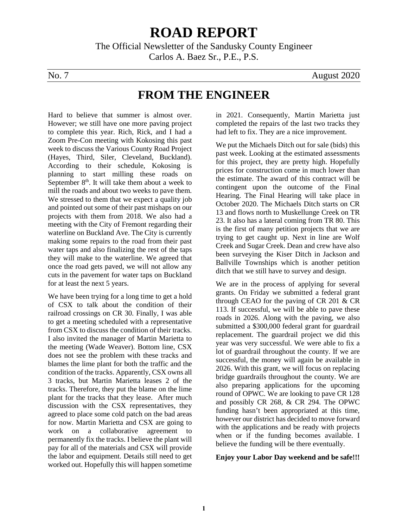# **ROAD REPORT**

The Official Newsletter of the Sandusky County Engineer Carlos A. Baez Sr., P.E., P.S.

No. 7 August 2020

## **FROM THE ENGINEER**

Hard to believe that summer is almost over. However; we still have one more paving project to complete this year. Rich, Rick, and I had a Zoom Pre-Con meeting with Kokosing this past week to discuss the Various County Road Project (Hayes, Third, Siler, Cleveland, Buckland). According to their schedule, Kokosing is planning to start milling these roads on September  $8<sup>th</sup>$ . It will take them about a week to mill the roads and about two weeks to pave them. We stressed to them that we expect a quality job and pointed out some of their past mishaps on our projects with them from 2018. We also had a meeting with the City of Fremont regarding their waterline on Buckland Ave. The City is currently making some repairs to the road from their past water taps and also finalizing the rest of the taps they will make to the waterline. We agreed that once the road gets paved, we will not allow any cuts in the pavement for water taps on Buckland for at least the next 5 years.

We have been trying for a long time to get a hold of CSX to talk about the condition of their railroad crossings on CR 30. Finally, I was able to get a meeting scheduled with a representative from CSX to discuss the condition of their tracks. I also invited the manager of Martin Marietta to the meeting (Wade Weaver). Bottom line, CSX does not see the problem with these tracks and blames the lime plant for both the traffic and the condition of the tracks. Apparently, CSX owns all 3 tracks, but Martin Marietta leases 2 of the tracks. Therefore, they put the blame on the lime plant for the tracks that they lease. After much discussion with the CSX representatives, they agreed to place some cold patch on the bad areas for now. Martin Marietta and CSX are going to work on a collaborative agreement to permanently fix the tracks. I believe the plant will pay for all of the materials and CSX will provide the labor and equipment. Details still need to get worked out. Hopefully this will happen sometime

in 2021. Consequently, Martin Marietta just completed the repairs of the last two tracks they had left to fix. They are a nice improvement.

We put the Michaels Ditch out for sale (bids) this past week. Looking at the estimated assessments for this project, they are pretty high. Hopefully prices for construction come in much lower than the estimate. The award of this contract will be contingent upon the outcome of the Final Hearing. The Final Hearing will take place in October 2020. The Michaels Ditch starts on CR 13 and flows north to Muskellunge Creek on TR 23. It also has a lateral coming from TR 80. This is the first of many petition projects that we are trying to get caught up. Next in line are Wolf Creek and Sugar Creek. Dean and crew have also been surveying the Kiser Ditch in Jackson and Ballville Townships which is another petition ditch that we still have to survey and design.

We are in the process of applying for several grants. On Friday we submitted a federal grant through CEAO for the paving of CR 201 & CR 113. If successful, we will be able to pave these roads in 2026. Along with the paving, we also submitted a \$300,000 federal grant for guardrail replacement. The guardrail project we did this year was very successful. We were able to fix a lot of guardrail throughout the county. If we are successful, the money will again be available in 2026. With this grant, we will focus on replacing bridge guardrails throughout the county. We are also preparing applications for the upcoming round of OPWC. We are looking to pave CR 128 and possibly CR 268, & CR 294. The OPWC funding hasn't been appropriated at this time, however our district has decided to move forward with the applications and be ready with projects when or if the funding becomes available. I believe the funding will be there eventually.

**Enjoy your Labor Day weekend and be safe!!!**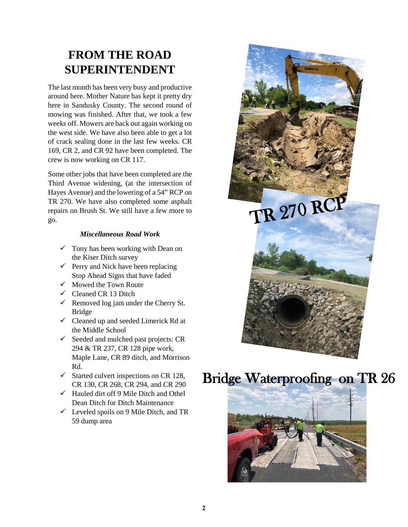# **FROM THE ROAD SUPERINTENDENT**

The last month has been very busy and productive around here. Mother Nature has kept it pretty dry here in Sandusky County. The second round of mowing was finished. After that, we took a few weeks off. Mowers are back out again working on the west side. We have also been able to get a lot of crack sealing done in the last few weeks. CR 169, CR 2, and CR 92 have been completed. The crew is now working on CR 117.

Some other jobs that have been completed are the Third Avenue widening, (at the intersection of Hayes Avenue) and the lowering of a 54" RCP on TR 270. We have also completed some asphalt repairs on Brush St. We still have a few more to go.

#### *Miscellaneous Road Work*

- $\checkmark$  Tony has been working with Dean on the Kiser Ditch survey
- $\checkmark$  Perry and Nick have been replacing Stop Ahead Signs that have faded
- $\checkmark$  Mowed the Town Route
- $\checkmark$  Cleaned CR 13 Ditch
- $\checkmark$  Removed log jam under the Cherry St. Bridge
- $\checkmark$  Cleaned up and seeded Limerick Rd at the Middle School
- $\checkmark$  Seeded and mulched past projects: CR 294 & TR 237, CR 128 pipe work, Maple Lane, CR 89 ditch, and Morrison Rd.
- $\checkmark$  Started culvert inspections on CR 128, CR 130, CR 268, CR 294, and CR 290
- $\checkmark$  Hauled dirt off 9 Mile Ditch and Othel Dean Ditch for Ditch Maintenance
- $\checkmark$  Leveled spoils on 9 Mile Ditch, and TR 59 dump area



# Bridge Waterproofing on TR 26

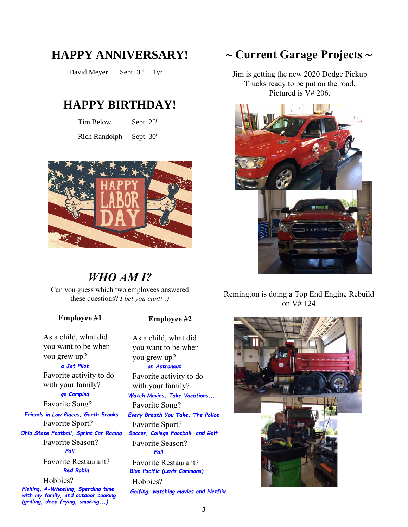## **HAPPY ANNIVERSARY!**

David Meyer Sept. 3rd 1yr

### **HAPPY BIRTHDAY!**

Tim Below Sept. 25<sup>th</sup>

Rich Randolph Sept. 30<sup>th</sup>



## *WHO AM I?*

Can you guess which two employees answered these questions? *I bet you cant! :)*

#### **Employee #1**

As a child, what did you want to be when you grew up?

Favorite activity to do with your family? *a Jet Pilot*

#### *go Camping*

Favorite Song? *Friends in Low Places, Garth Brooks*

Favorite Sport? *Ohio State Football, Sprint Car Racing*

Favorite Season? *Fall*

Favorite Restaurant? *Red Robin*

Hobbies?

*Fishing, 4-Wheeling, Spending time with my family, and outdoor cooking (grilling, deep frying, smoking...)*

#### **Employee #2**

As a child, what did you want to be when you grew up? Favorite activity to do with your family? Favorite Song? Favorite Sport? Favorite Season? Favorite Restaurant? Hobbies? *an Astronaut Watch Movies, Take Vacations... Every Breath You Take, The Police Soccer, College Football, and Golf Fall Blue Pacific (Levis Commons)*

*Golfing, watching movies and Netflix*

## **~ Current Garage Projects ~**

Jim is getting the new 2020 Dodge Pickup Trucks ready to be put on the road. Pictured is V# 206.



Remington is doing a Top End Engine Rebuild on V# 124